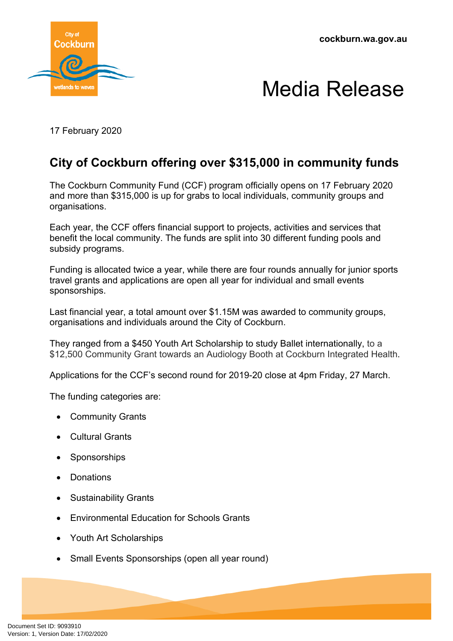**cockburn.wa.gov.au**





17 February 2020

## **City of Cockburn offering over \$315,000 in community funds**

The Cockburn Community Fund (CCF) program officially opens on 17 February 2020 and more than \$315,000 is up for grabs to local individuals, community groups and organisations.

Each year, the CCF offers financial support to projects, activities and services that benefit the local community. The funds are split into 30 different funding pools and subsidy programs.

Funding is allocated twice a year, while there are four rounds annually for junior sports travel grants and applications are open all year for individual and small events sponsorships.

Last financial year, a total amount over \$1.15M was awarded to community groups, organisations and individuals around the City of Cockburn.

They ranged from a \$450 Youth Art Scholarship to study Ballet internationally, to a \$12,500 Community Grant towards an Audiology Booth at Cockburn Integrated Health.

Applications for the CCF's second round for 2019-20 close at 4pm Friday, 27 March.

The funding categories are:

- Community Grants
- Cultural Grants
- Sponsorships
- Donations
- Sustainability Grants
- Environmental Education for Schools Grants
- Youth Art Scholarships
- Small Events Sponsorships (open all year round)